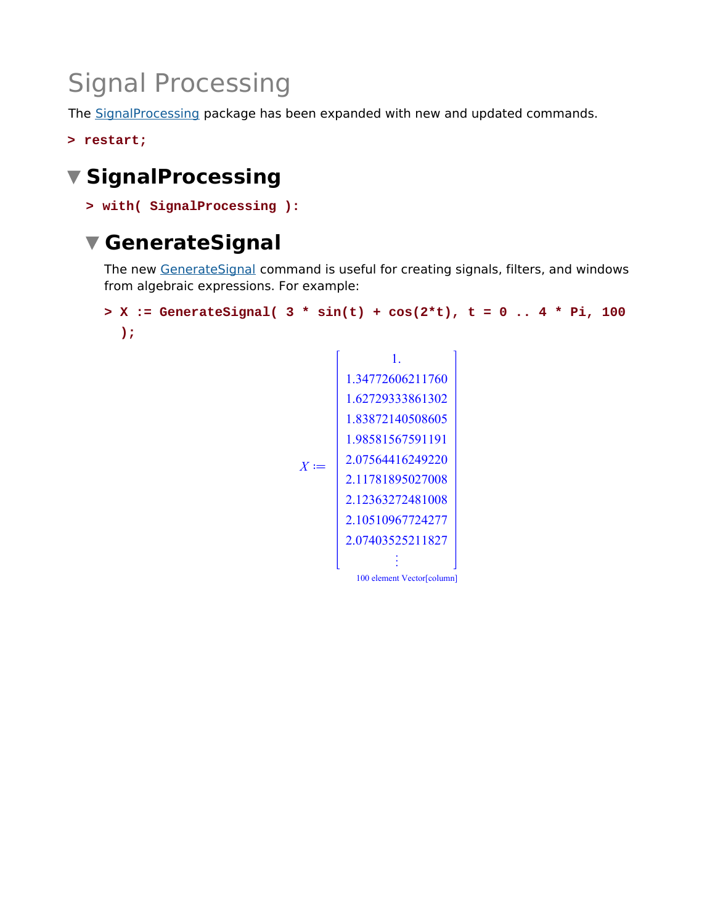# Signal Processing

The SignalProcessing package has been expanded with new and updated commands.

**> restart;**

## **SignalProcessing**

**> with( SignalProcessing ):**

## **GenerateSignal**

The new GenerateSignal command is useful for creating signals, filters, and windows from algebraic expressions. For example:

```
X := GenerateSignal( 3 * sin(t) + cos(2*t), t = 0 .. 4 * Pi, 100 
> 
  );
                                        1.
                                  1.34772606211760
                                  1.62729333861302
                                  1.83872140508605
```
 $X =$ 

100 element Vector[column]

1.98581567591191 2.07564416249220 2.11781895027008 2.12363272481008 2.10510967724277 2.07403525211827 «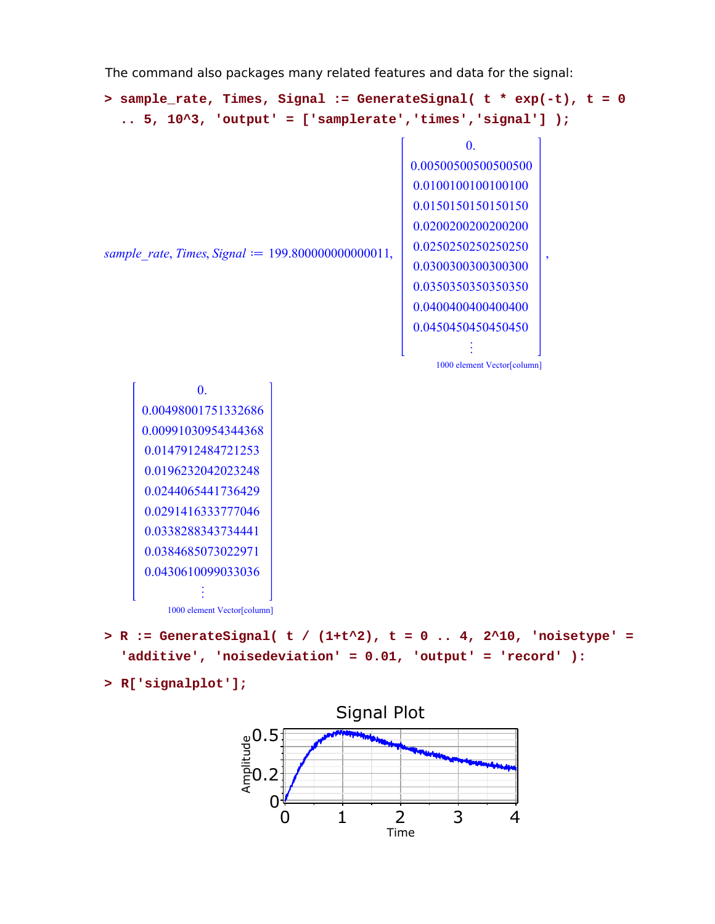```
sample_rate, Times, Signal := GenerateSignal( t * exp(-t), t = 0 
> 
  .. 5, 10^3, 'output' = ['samplerate','times','signal'] );
sample_rate, Times, Signal = 199.80000000000011,
                                                       0.
                                              0.00500500500500500
                                               0.0100100100100100
                                               0.0150150150150150
                                               0.0200200200200200
                                               0.0250250250250250
                                               0.0300300300300300
                                               0.0350350350350350
                                               0.0400400400400400
                                               0.0450450450450450
                                                        «
                                                  1000 element Vector[column]
                                                                   ,
              0.
     0.00498001751332686
     0.00991030954344368
      0.0147912484721253
      0.0196232042023248
      0.0244065441736429
      0.0291416333777046
      0.0338288343734441
      0.0384685073022971
      0.0430610099033036
               «
         1000 element Vector[column]
R := GenerateSignal( t / (1+t^2), t = 0 .. 4, 2^10, 'noisetype' =
> 
  'additive', 'noisedeviation' = 0.01, 'output' = 'record' ):
```

```
The command also packages many related features and data for the signal:
```

```
> R['signalplot'];
```
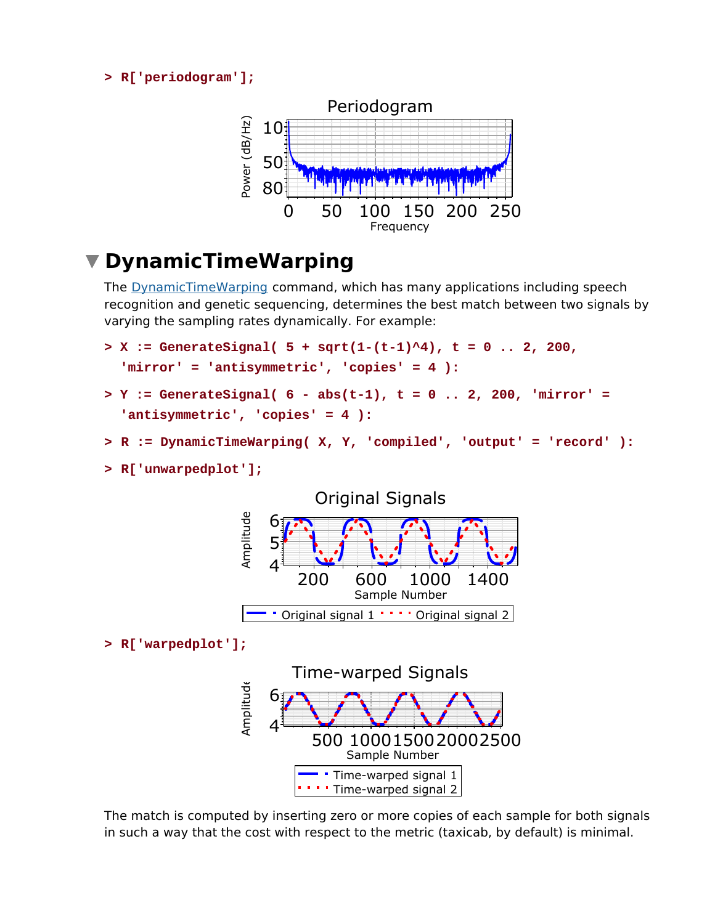#### **> R['periodogram'];**



## **DynamicTimeWarping**

The **DynamicTimeWarping command, which has many applications including speech** recognition and genetic sequencing, determines the best match between two signals by varying the sampling rates dynamically. For example:

```
X := GenerateSignal( 5 + sqrt(1-(t-1)^4), t = 0 .. 2, 200, 
> 
  'mirror' = 'antisymmetric', 'copies' = 4 ):
Y := GenerateSignal( 6 - abs(t-1), t = 0 .. 2, 200, 'mirror' = 
> 
  'antisymmetric', 'copies' = 4 ):
> R := DynamicTimeWarping( X, Y, 'compiled', 'output' = 'record' ):
```

```
> R['unwarpedplot'];
```


The match is computed by inserting zero or more copies of each sample for both signals in such a way that the cost with respect to the metric (taxicab, by default) is minimal.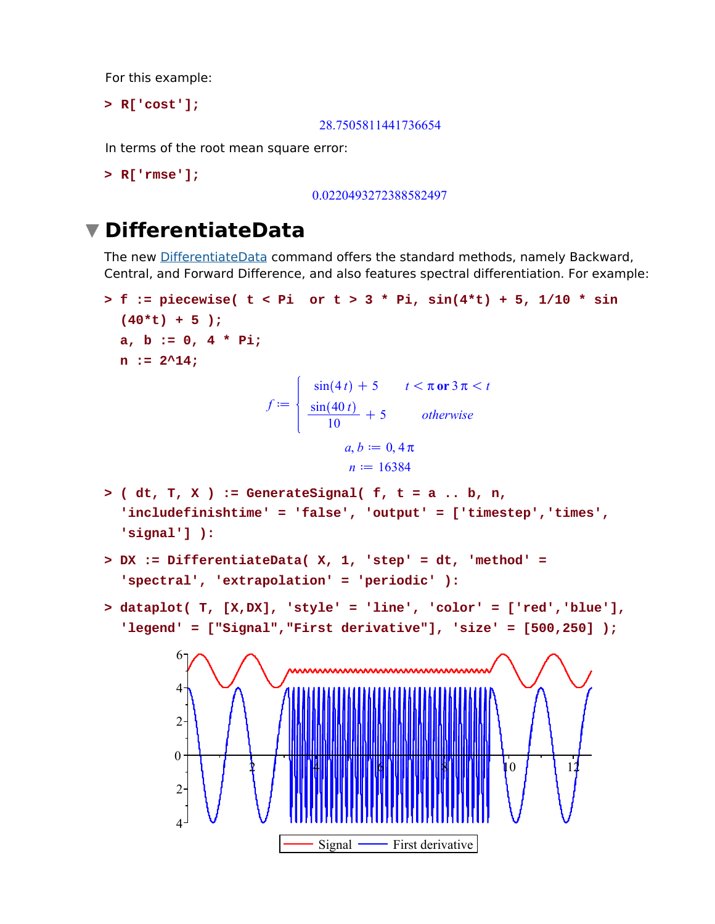For this example:

**> R['cost'];**

28.7505811441736654

In terms of the root mean square error:

```
> R['rmse'];
```
0.0220493272388582497

## **DifferentiateData**

The new DifferentiateData command offers the standard methods, namely Backward, Central, and Forward Difference, and also features spectral differentiation. For example:

```
f := piecewise( t < Pi or t > 3 * Pi, sin(4*t) + 5, 1/10 * sin
> 
 (40*t) + 5 );
 a, b := 0, 4 * Pi;
 n := 2^14;
                      f :=\sin(4t) + 5 t < \pi \text{ or } 3 \pi < t\frac{\sin(40 t)}{10} + 5 otherwise
                                a, b := 0, 4\pin := 16384( dt, T, X ) := GenerateSignal( f, t = a .. b, n, 
> 
  'includefinishtime' = 'false', 'output' = ['timestep','times',
  'signal'] ):
DX := DifferentiateData( X, 1, 'step' = dt, 'method' = 
> 
  'spectral', 'extrapolation' = 'periodic' ):
dataplot( T, [X,DX], 'style' = 'line', 'color' = ['red','blue'], 
> 
  'legend' = ["Signal","First derivative"], 'size' = [500,250] );
                             Signal \longrightarrow First derivative
                    2 4 6 8 10 12
         \overline{4}2 -0
         2
         4
         6
```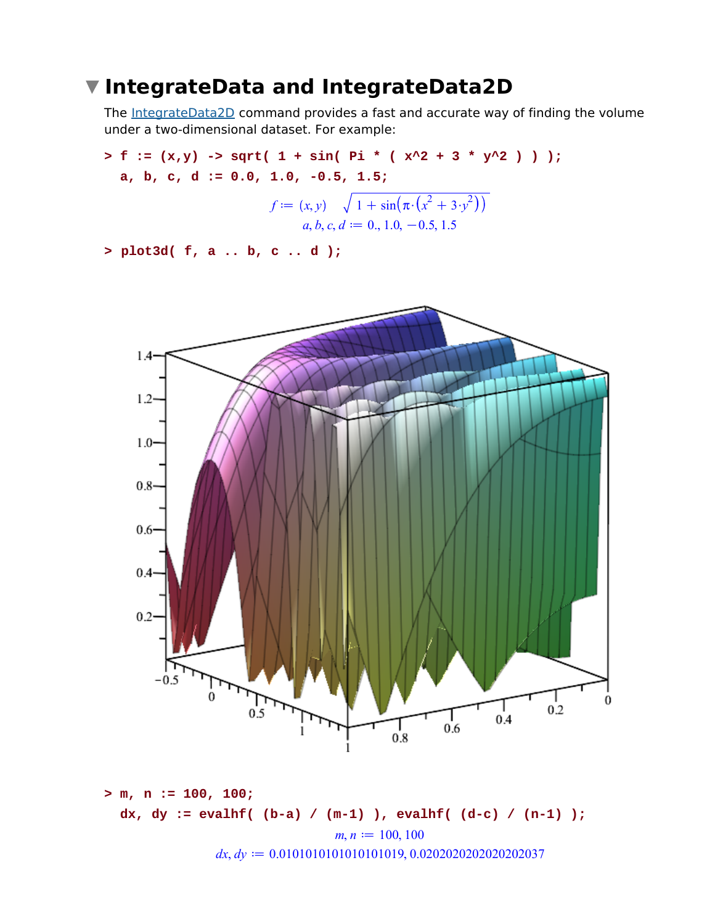### **IntegrateData and IntegrateData2D**

The IntegrateData2D command provides a fast and accurate way of finding the volume under a two-dimensional dataset. For example:

**f := (x,y) -> sqrt( 1 + sin( Pi \* ( x^2 + 3 \* y^2 ) ) ); > a, b, c, d := 0.0, 1.0, -0.5, 1.5;**

$$
f := (x, y) \quad \sqrt{1 + \sin(\pi \cdot (x^2 + 3 \cdot y^2))}
$$

$$
a, b, c, d := 0, 1.0, -0.5, 1.5
$$

**> plot3d( f, a .. b, c .. d );**



**m, n := 100, 100; > dx, dy := evalhf( (b-a) / (m-1) ), evalhf( (d-c) / (n-1) );**  $m, n := 100, 100$  $dx, dy := 0.0101010101010101019, 0.02020202020202037$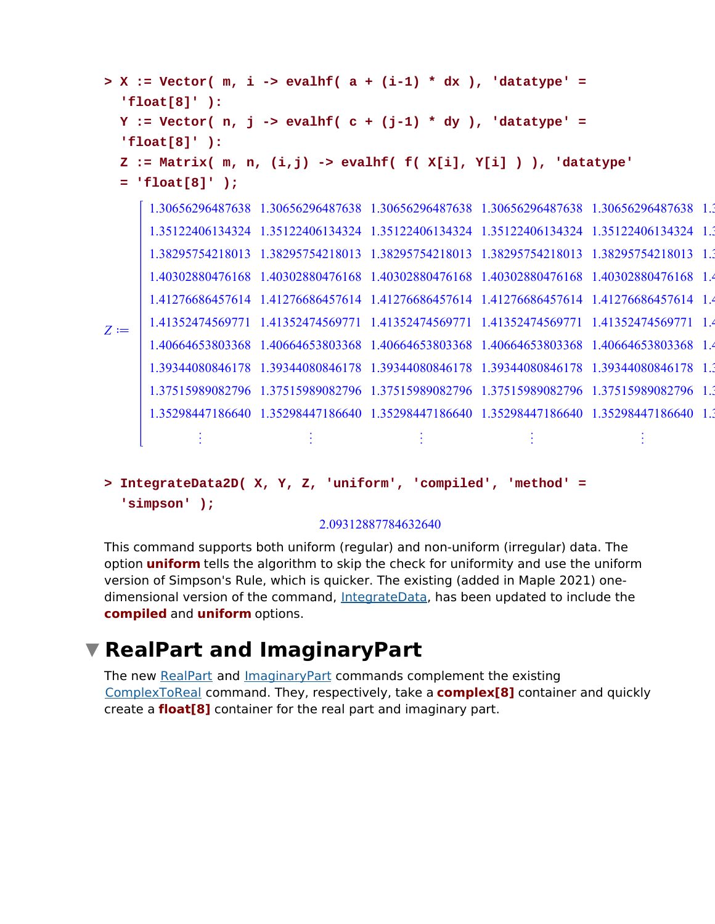| > X := Vector( m, i -> evalhf( a + (i-1) * dx ), 'datatype' =        |                 |  |                |    |                                                                                          |  |  |  |
|----------------------------------------------------------------------|-----------------|--|----------------|----|------------------------------------------------------------------------------------------|--|--|--|
|                                                                      | $'float[8]'$ ): |  |                |    |                                                                                          |  |  |  |
| Y := Vector( n, j -> evalhf( c + (j-1) * dy ), 'datatype' =          |                 |  |                |    |                                                                                          |  |  |  |
| $'float[8]'$ ):                                                      |                 |  |                |    |                                                                                          |  |  |  |
| Z := Matrix( m, n, $(i, j)$ -> evalhf( f( X[i], Y[i] ) ), 'datatype' |                 |  |                |    |                                                                                          |  |  |  |
| $=$ 'float[8]');                                                     |                 |  |                |    |                                                                                          |  |  |  |
|                                                                      |                 |  |                |    | 1.30656296487638 1.30656296487638 1.30656296487638 1.30656296487638 1.30656296487638 1.3 |  |  |  |
| $Z :=$                                                               |                 |  |                |    | 1.35122406134324 1.35122406134324 1.35122406134324 1.35122406134324 1.35122406134324 1.3 |  |  |  |
|                                                                      |                 |  |                |    | 1.38295754218013 1.38295754218013 1.38295754218013 1.38295754218013 1.38295754218013 1.3 |  |  |  |
|                                                                      |                 |  |                |    | 1.40302880476168 1.40302880476168 1.40302880476168 1.40302880476168 1.40302880476168 1.4 |  |  |  |
|                                                                      |                 |  |                |    | 1.41276686457614 1.41276686457614 1.41276686457614 1.41276686457614 1.41276686457614 1.4 |  |  |  |
|                                                                      |                 |  |                |    | 1.41352474569771 1.41352474569771 1.41352474569771 1.41352474569771 1.41352474569771 1.4 |  |  |  |
|                                                                      |                 |  |                |    | 1.40664653803368 1.40664653803368 1.40664653803368 1.40664653803368 1.40664653803368 1.4 |  |  |  |
|                                                                      |                 |  |                |    | 1.39344080846178 1.39344080846178 1.39344080846178 1.39344080846178 1.39344080846178 1.3 |  |  |  |
|                                                                      |                 |  |                |    | 1.37515989082796 1.37515989082796 1.37515989082796 1.37515989082796 1.37515989082796 1.3 |  |  |  |
|                                                                      |                 |  |                |    | 1.35298447186640 1.35298447186640 1.35298447186640 1.35298447186640 1.35298447186640 1.3 |  |  |  |
|                                                                      |                 |  | $\mathbb{R}^n$ | ÷. | $\mathcal{L}^{\mathcal{L}}$                                                              |  |  |  |

#### **IntegrateData2D( X, Y, Z, 'uniform', 'compiled', 'method' = > 'simpson' );**

#### 2.09312887784632640

This command supports both uniform (regular) and non-uniform (irregular) data. The option **uniform** tells the algorithm to skip the check for uniformity and use the uniform version of Simpson's Rule, which is quicker. The existing (added in Maple 2021) onedimensional version of the command, IntegrateData, has been updated to include the **compiled** and **uniform** options.

## **RealPart and ImaginaryPart**

The new RealPart and ImaginaryPart commands complement the existing ComplexToReal command. They, respectively, take a **complex[8]** container and quickly create a **float[8]** container for the real part and imaginary part.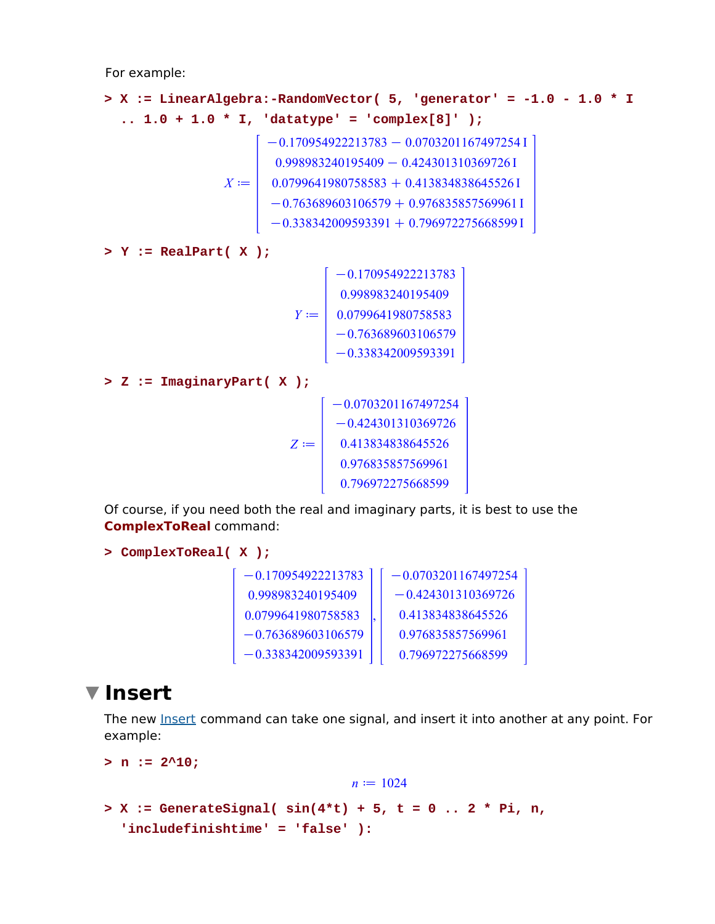For example:

```
X := LinearAlgebra:-RandomVector( 5, 'generator' = -1.0 - 1.0 * I
> 
   .. 1.0 + 1.0 * I, 'datatype' = 'complex[8]' );
                   X := \begin{bmatrix} 0.0799641980758583 + 0.4138348386455261 \end{bmatrix}-0.170954922213783 - 0.0703201167497254 I
                         0.998983240195409 - 0.424301310369726 I
                          -0.763689603106579 + 0.9768358575699611-0.338342009593391 + 0.796972275668599 I
> Y := RealPart( X );
                              Y \coloneqq-0.1709549222137830.998983240195409
                                     0.0799641980758583
                                    -0.763689603106579-0.338342009593391> Z := ImaginaryPart( X );
                             Z \coloneqqK0.0703201167497254
                                    -0.4243013103697260.413834838645526
                                     0.976835857569961
                                     0.796972275668599
```
Of course, if you need both the real and imaginary parts, it is best to use the **ComplexToReal** command:

```
> ComplexToReal( X );
```

| $-0.170954922213783$ | $-0.0703201167497254$ |
|----------------------|-----------------------|
| 0.998983240195409    | $-0.424301310369726$  |
| 0.0799641980758583   | 0.413834838645526     |
| $-0.763689603106579$ | 0.976835857569961     |
| $-0.338342009593391$ | 0.796972275668599     |

### **Insert**

The new Insert command can take one signal, and insert it into another at any point. For example:

```
> n := 2^10;
                                n := 1024X := GenerateSignal( sin(4*t) + 5, t = 0 .. 2 * Pi, n, 
> 'includefinishtime' = 'false' ):
```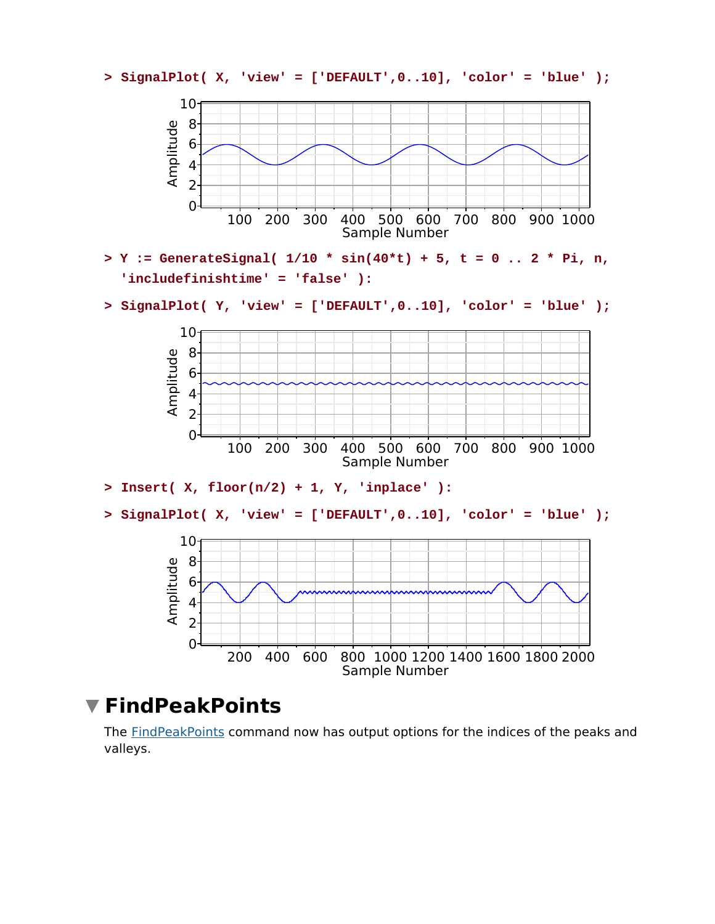

## **FindPeakPoints**

The FindPeakPoints command now has output options for the indices of the peaks and valleys.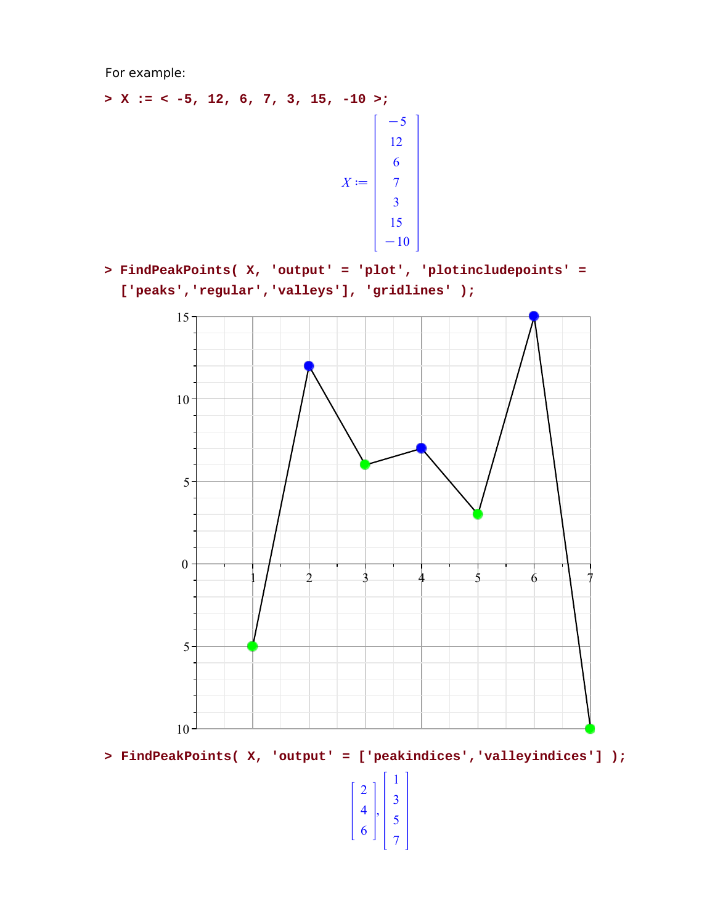For example:

- **> X := < -5, 12, 6, 7, 3, 15, -10 >;**  $X \coloneqq \top$  $-5$   $-10$
- **FindPeakPoints( X, 'output' = 'plot', 'plotincludepoints' = > ['peaks','regular','valleys'], 'gridlines' );**



**> FindPeakPoints( X, 'output' = ['peakindices','valleyindices'] );**